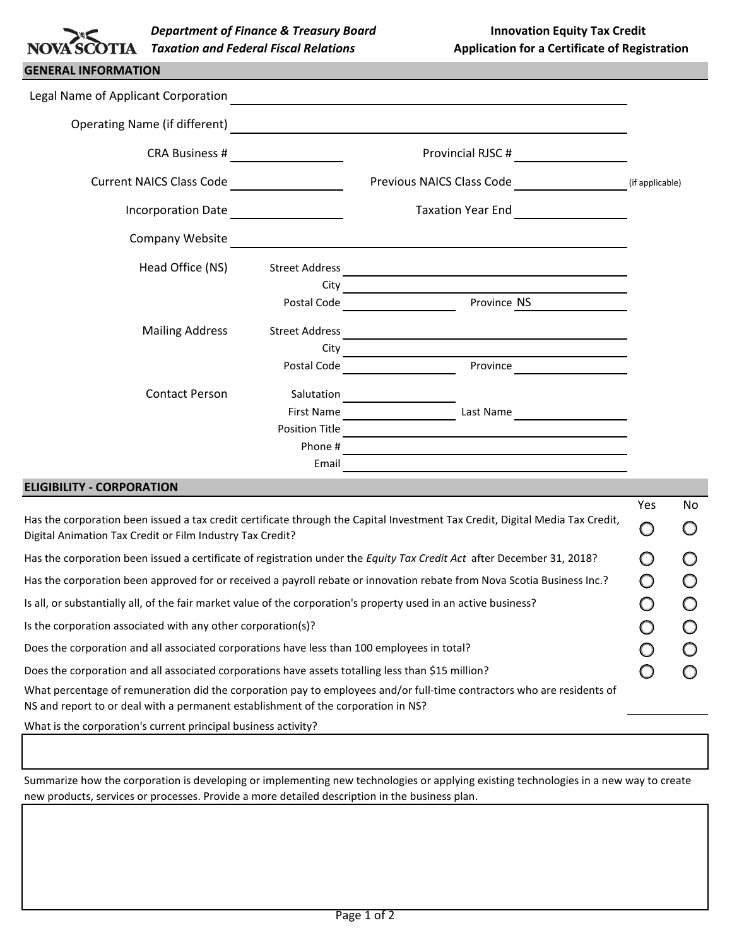| SCOTIA | <b>Department of Finand</b> |
|--------|-----------------------------|
|        | <b>Taxation and Federal</b> |

| <b>GENERAL INFORMATION</b>           |                       |                                                                                                                      |                 |
|--------------------------------------|-----------------------|----------------------------------------------------------------------------------------------------------------------|-----------------|
| Legal Name of Applicant Corporation  |                       |                                                                                                                      |                 |
| <b>Operating Name (if different)</b> |                       |                                                                                                                      |                 |
| <b>CRA Business #</b>                |                       | Provincial RJSC #                                                                                                    |                 |
| <b>Current NAICS Class Code</b>      |                       | Previous NAICS Class Code                                                                                            | (if applicable) |
| <b>Incorporation Date</b>            |                       | <b>Taxation Year End</b>                                                                                             |                 |
| Company Website                      |                       | <u> 1989 - Andrea Santa Andrea Andrea Santa Andrea Andrea Andrea Andrea Andrea Andrea Andrea Andrea Andrea Andre</u> |                 |
| Head Office (NS)                     | <b>Street Address</b> |                                                                                                                      |                 |
|                                      | City                  | <u> 1990 - Johann Barbara, martin d</u>                                                                              |                 |
|                                      | Postal Code           | Province NS                                                                                                          |                 |
| <b>Mailing Address</b>               | <b>Street Address</b> |                                                                                                                      |                 |
|                                      | City                  |                                                                                                                      |                 |
|                                      | Postal Code           | Province                                                                                                             |                 |
| <b>Contact Person</b>                | Salutation            |                                                                                                                      |                 |
|                                      | <b>First Name</b>     | Last Name                                                                                                            |                 |
|                                      | <b>Position Title</b> |                                                                                                                      |                 |
|                                      | Phone #               |                                                                                                                      |                 |
|                                      | Email                 |                                                                                                                      |                 |

### **ELIGIBILITY - CORPORATION**

|                                                                                                                                                                                                             | Yes | No. |
|-------------------------------------------------------------------------------------------------------------------------------------------------------------------------------------------------------------|-----|-----|
| Has the corporation been issued a tax credit certificate through the Capital Investment Tax Credit, Digital Media Tax Credit,<br>Digital Animation Tax Credit or Film Industry Tax Credit?                  |     |     |
| Has the corporation been issued a certificate of registration under the Equity Tax Credit Act after December 31, 2018?                                                                                      |     |     |
| Has the corporation been approved for or received a payroll rebate or innovation rebate from Nova Scotia Business Inc.?                                                                                     |     |     |
| Is all, or substantially all, of the fair market value of the corporation's property used in an active business?                                                                                            |     |     |
| Is the corporation associated with any other corporation(s)?                                                                                                                                                |     |     |
| Does the corporation and all associated corporations have less than 100 employees in total?                                                                                                                 |     |     |
| Does the corporation and all associated corporations have assets totalling less than \$15 million?                                                                                                          |     |     |
| What percentage of remuneration did the corporation pay to employees and/or full-time contractors who are residents of<br>NS and report to or deal with a permanent establishment of the corporation in NS? |     |     |
| What is the corporation's current principal business activity?                                                                                                                                              |     |     |

Summarize how the corporation is developing or implementing new technologies or applying existing technologies in a new way to create new products, services or processes. Provide a more detailed description in the business plan.